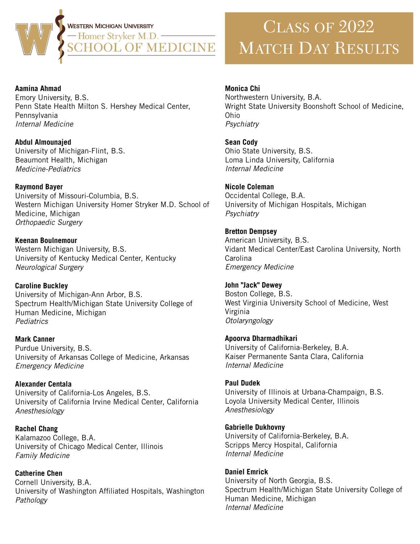

## **Aamina Ahmad Monica Chi** Emory University, B.S. Penn State Health Milton S. Hershey Medical Center, Pennsylvania Internal Medicine

**Abdul Almounaied** University of Michigan-Flint, B.S. Beaumont Health, Michigan Medicine-Pediatrics

**Raymond Bayer** University of Missouri-Columbia, B.S.

Western Michigan University Homer Stryker M.D. School of Medicine, Michigan Orthopaedic Surgery

**Keenan Boulnemour** Western Michigan University, B.S. University of Kentucky Medical Center, Kentucky **Neurological Surgery** 

**Caroline Buckley** University of Michigan-Ann Arbor, B.S. Spectrum Health/Michigan State University College of Human Medicine, Michigan **Pediatrics** 

**Mark Canner** Purdue University, B.S. University of Arkansas College of Medicine, Arkansas **Emergency Medicine** 

**Alexander Centala** University of California-Los Angeles, B.S. University of California Irvine Medical Center, California Anesthesiology

**Rachel Chang** Kalamazoo College, B.A. University of Chicago Medical Center, Illinois **Family Medicine** 

**Catherine Chen** Cornell University, B.A. University of Washington Affiliated Hospitals, Washington Pathology

# CLASS OF 2022 MATCH DAY RESULTS

Northwestern University, B.A. Wright State University Boonshoft School of Medicine, Ohio *Psychiatry*

**Sean Cody** Ohio State University, B.S. Loma Linda University, California *Internal Medicine*

**Nicole Coleman** Occidental College, B.A. University of Michigan Hospitals, Michigan *Psychiatry*

**Bretton Dempsey** American University, B.S. Vidant Medical Center/East Carolina University, North **Carolina** *Emergency Medicine*

**John "Jack" Dewey** Boston College, B.S. West Virginia University School of Medicine, West Virginia *Otolaryngology*

**Apoorva Dharmadhikari** University of California-Berkeley, B.A. Kaiser Permanente Santa Clara, California *Internal Medicine*

**Paul Dudek** University of Illinois at Urbana-Champaign, B.S. Loyola University Medical Center, Illinois *Anesthesiology*

**Gabrielle Dukhovny** University of California-Berkeley, B.A. Scripps Mercy Hospital, California *Internal Medicine*

**Daniel Emrick** University of North Georgia, B.S. Spectrum Health/Michigan State University College of Human Medicine, Michigan *Internal Medicine*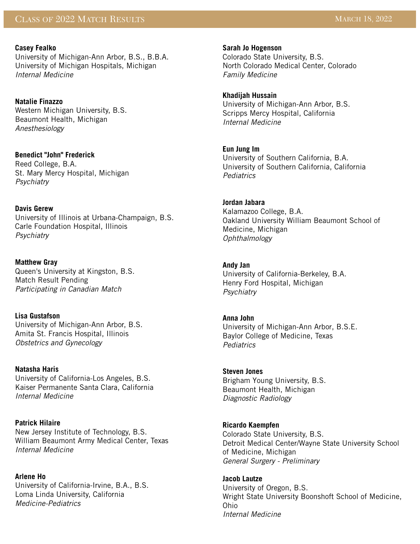## **Casey Fealko**

University of Michigan-Ann Arbor, B.S., B.B.A. University of Michigan Hospitals, Michigan *Internal Medicine*

# **Natalie Finazzo**

Western Michigan University, B.S. Beaumont Health, Michigan *Anesthesiology*

# **Benedict "John" Frederick**

Reed College, B.A. St. Mary Mercy Hospital, Michigan *Psychiatry*

# **Davis Gerew**

University of Illinois at Urbana-Champaign, B.S. Carle Foundation Hospital, Illinois *Psychiatry*

# **Matthew Gray**

Queen's University at Kingston, B.S. Match Result Pending *Participating in Canadian Match*

# **Lisa Gustafson**

University of Michigan-Ann Arbor, B.S. Amita St. Francis Hospital, Illinois *Obstetrics and Gynecology*

# **Natasha Haris**

University of California-Los Angeles, B.S. Kaiser Permanente Santa Clara, California *Internal Medicine*

# **Patrick Hilaire**

New Jersey Institute of Technology, B.S. William Beaumont Army Medical Center, Texas *Internal Medicine*

# **Arlene Ho**

University of California-Irvine, B.A., B.S. Loma Linda University, California *Medicine-Pediatrics*

## **Sarah Jo Hogenson**

Colorado State University, B.S. North Colorado Medical Center, Colorado *Family Medicine*

# **Khadijah Hussain**

University of Michigan-Ann Arbor, B.S. Scripps Mercy Hospital, California *Internal Medicine*

# **Eun Jung Im**

University of Southern California, B.A. University of Southern California, California *Pediatrics*

# **Jordan Jabara**

Kalamazoo College, B.A. Oakland University William Beaumont School of Medicine, Michigan *Ophthalmology*

## **Andy Jan**

University of California-Berkeley, B.A. Henry Ford Hospital, Michigan *Psychiatry*

## **Anna John**

University of Michigan-Ann Arbor, B.S.E. Baylor College of Medicine, Texas *Pediatrics*

## **Steven Jones**

Brigham Young University, B.S. Beaumont Health, Michigan *Diagnostic Radiology* 

## **Ricardo Kaempfen**

Colorado State University, B.S. Detroit Medical Center/Wayne State University School of Medicine, Michigan *General Surgery - Preliminary*

#### **Jacob Lautze**  University of Oregon, B.S. Wright State University Boonshoft School of Medicine, Ohio *Internal Medicine*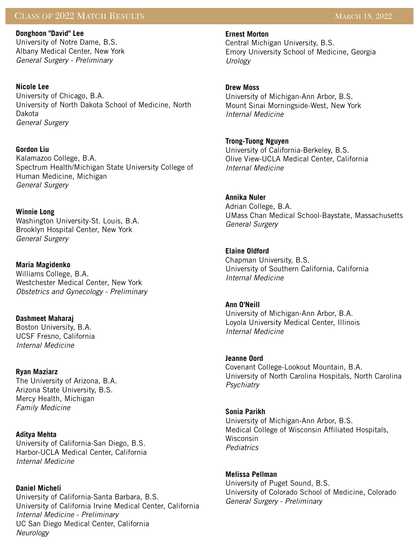# CLASS OF 2022 MATCH RESULTS MARCH 18, 2022

**Donghoon "David" Lee** University of Notre Dame, B.S. Albany Medical Center, New York *General Surgery - Preliminary*

**Nicole Lee** University of Chicago, B.A. University of North Dakota School of Medicine, North Dakota *General Surgery*

**Gordon Liu** Kalamazoo College, B.A. Spectrum Health/Michigan State University College of Human Medicine, Michigan *General Surgery*

# **Winnie Long**

Washington University-St. Louis, B.A. Brooklyn Hospital Center, New York *General Surgery*

**Maria Magidenko** Williams College, B.A. Westchester Medical Center, New York *Obstetrics and Gynecology - Preliminary*

**Dashmeet Maharaj** Boston University, B.A. UCSF Fresno, California *Internal Medicine*

**Ryan Maziarz** The University of Arizona, B.A. Arizona State University, B.S. Mercy Health, Michigan *Family Medicine*

**Aditya Mehta** University of California-San Diego, B.S. Harbor-UCLA Medical Center, California *Internal Medicine*

**Daniel Micheli** University of California-Santa Barbara, B.S. University of California Irvine Medical Center, California *Internal Medicine - Preliminary* UC San Diego Medical Center, California *Neurology*

## **Ernest Morton**

Central Michigan University, B.S. Emory University School of Medicine, Georgia *Urology*

**Drew Moss**

University of Michigan-Ann Arbor, B.S. Mount Sinai Morningside-West, New York *Internal Medicine*

**Trong-Tuong Nguyen**

University of California-Berkeley, B.S. Olive View-UCLA Medical Center, California *Internal Medicine*

## **Annika Nuler**

Adrian College, B.A. UMass Chan Medical School-Baystate, Massachusetts *General Surgery*

## **Elaine Oldford**

Chapman University, B.S. University of Southern California, California *Internal Medicine*

#### **Ann O'Neill**

University of Michigan-Ann Arbor, B.A. Loyola University Medical Center, Illinois *Internal Medicine*

#### **Jeanne Oord**

Covenant College-Lookout Mountain, B.A. University of North Carolina Hospitals, North Carolina *Psychiatry*

#### **Sonia Parikh**

University of Michigan-Ann Arbor, B.S. Medical College of Wisconsin Affiliated Hospitals, Wisconsin *Pediatrics*

#### **Melissa Pellman**

University of Puget Sound, B.S. University of Colorado School of Medicine, Colorado *General Surgery - Preliminary*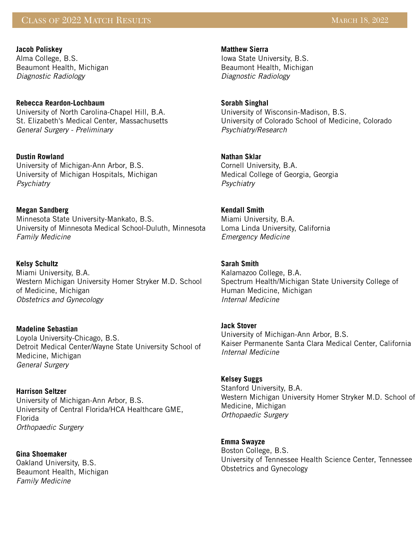# CLASS OF 2022 MATCH RESULTS AND LOCAL CLASS OF 2022 MARCH 18, 2022

**Jacob Poliskey** Alma College, B.S. Beaumont Health, Michigan *Diagnostic Radiology* 

#### **Rebecca Reardon-Lochbaum**

University of North Carolina-Chapel Hill, B.A. St. Elizabeth's Medical Center, Massachusetts *General Surgery - Preliminary*

#### **Dustin Rowland**

University of Michigan-Ann Arbor, B.S. University of Michigan Hospitals, Michigan *Psychiatry*

#### **Megan Sandberg**

Minnesota State University-Mankato, B.S. University of Minnesota Medical School-Duluth, Minnesota *Family Medicine*

#### **Kelsy Schultz**

Miami University, B.A. Western Michigan University Homer Stryker M.D. School of Medicine, Michigan *Obstetrics and Gynecology*

#### **Madeline Sebastian**

Loyola University-Chicago, B.S. Detroit Medical Center/Wayne State University School of Medicine, Michigan *General Surgery*

#### **Harrison Seltzer**

University of Michigan-Ann Arbor, B.S. University of Central Florida/HCA Healthcare GME, Florida *Orthopaedic Surgery*

**Gina Shoemaker** Oakland University, B.S. Beaumont Health, Michigan *Family Medicine*

## **Matthew Sierra** Iowa State University, B.S.

Beaumont Health, Michigan *Diagnostic Radiology*

#### **Sorabh Singhal**

University of Wisconsin-Madison, B.S. University of Colorado School of Medicine, Colorado *Psychiatry/Research*

#### **Nathan Sklar**

Cornell University, B.A. Medical College of Georgia, Georgia *Psychiatry*

## **Kendall Smith**

Miami University, B.A. Loma Linda University, California *Emergency Medicine*

#### **Sarah Smith**

Kalamazoo College, B.A. Spectrum Health/Michigan State University College of Human Medicine, Michigan *Internal Medicine*

#### **Jack Stover**

University of Michigan-Ann Arbor, B.S. Kaiser Permanente Santa Clara Medical Center, California *Internal Medicine*

#### **Kelsey Suggs**

Stanford University, B.A. Western Michigan University Homer Stryker M.D. School of Medicine, Michigan *Orthopaedic Surgery*

## **Emma Swayze**

Boston College, B.S. University of Tennessee Health Science Center, Tennessee Obstetrics and Gynecology